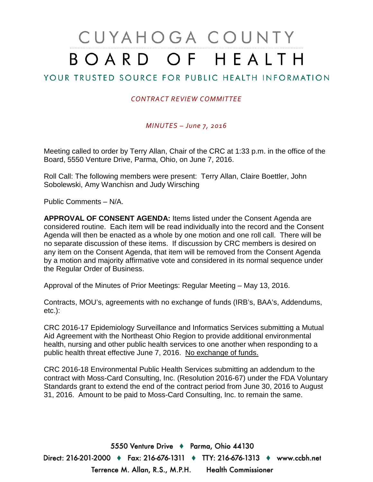# CUYAHOGA COUNTY BOARD OF HEALTH

## YOUR TRUSTED SOURCE FOR PUBLIC HEALTH INFORMATION

### *CONTRACT REVIEW COMMITTEE*

#### *MINUTES – June 7, 2016*

Meeting called to order by Terry Allan, Chair of the CRC at 1:33 p.m. in the office of the Board, 5550 Venture Drive, Parma, Ohio, on June 7, 2016.

Roll Call: The following members were present: Terry Allan, Claire Boettler, John Sobolewski, Amy Wanchisn and Judy Wirsching

Public Comments – N/A.

**APPROVAL OF CONSENT AGENDA:** Items listed under the Consent Agenda are considered routine. Each item will be read individually into the record and the Consent Agenda will then be enacted as a whole by one motion and one roll call. There will be no separate discussion of these items. If discussion by CRC members is desired on any item on the Consent Agenda, that item will be removed from the Consent Agenda by a motion and majority affirmative vote and considered in its normal sequence under the Regular Order of Business.

Approval of the Minutes of Prior Meetings: Regular Meeting – May 13, 2016.

Contracts, MOU's, agreements with no exchange of funds (IRB's, BAA's, Addendums, etc.):

CRC 2016-17 Epidemiology Surveillance and Informatics Services submitting a Mutual Aid Agreement with the Northeast Ohio Region to provide additional environmental health, nursing and other public health services to one another when responding to a public health threat effective June 7, 2016. No exchange of funds.

CRC 2016-18 Environmental Public Health Services submitting an addendum to the contract with Moss-Card Consulting, Inc. (Resolution 2016-67) under the FDA Voluntary Standards grant to extend the end of the contract period from June 30, 2016 to August 31, 2016. Amount to be paid to Moss-Card Consulting, Inc. to remain the same.

5550 Venture Drive + Parma, Ohio 44130 Direct: 216-201-2000 ♦ Fax: 216-676-1311 ♦ TTY: 216-676-1313 ♦ www.ccbh.net Terrence M. Allan, R.S., M.P.H. Health Commissioner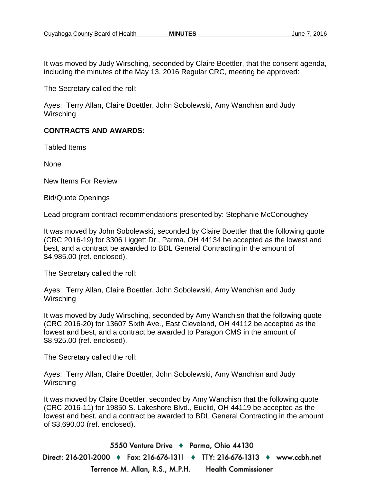It was moved by Judy Wirsching, seconded by Claire Boettler, that the consent agenda, including the minutes of the May 13, 2016 Regular CRC, meeting be approved:

The Secretary called the roll:

Ayes: Terry Allan, Claire Boettler, John Sobolewski, Amy Wanchisn and Judy **Wirsching** 

#### **CONTRACTS AND AWARDS:**

Tabled Items

None

New Items For Review

Bid/Quote Openings

Lead program contract recommendations presented by: Stephanie McConoughey

It was moved by John Sobolewski, seconded by Claire Boettler that the following quote (CRC 2016-19) for 3306 Liggett Dr., Parma, OH 44134 be accepted as the lowest and best, and a contract be awarded to BDL General Contracting in the amount of \$4,985.00 (ref. enclosed).

The Secretary called the roll:

Ayes: Terry Allan, Claire Boettler, John Sobolewski, Amy Wanchisn and Judy **Wirsching** 

It was moved by Judy Wirsching, seconded by Amy Wanchisn that the following quote (CRC 2016-20) for 13607 Sixth Ave., East Cleveland, OH 44112 be accepted as the lowest and best, and a contract be awarded to Paragon CMS in the amount of \$8,925.00 (ref. enclosed).

The Secretary called the roll:

Ayes: Terry Allan, Claire Boettler, John Sobolewski, Amy Wanchisn and Judy **Wirsching** 

It was moved by Claire Boettler, seconded by Amy Wanchisn that the following quote (CRC 2016-11) for 19850 S. Lakeshore Blvd., Euclid, OH 44119 be accepted as the lowest and best, and a contract be awarded to BDL General Contracting in the amount of \$3,690.00 (ref. enclosed).

5550 Venture Drive + Parma, Ohio 44130 Direct: 216-201-2000 ♦ Fax: 216-676-1311 ♦ TTY: 216-676-1313 ♦ www.ccbh.net Terrence M. Allan, R.S., M.P.H. **Health Commissioner**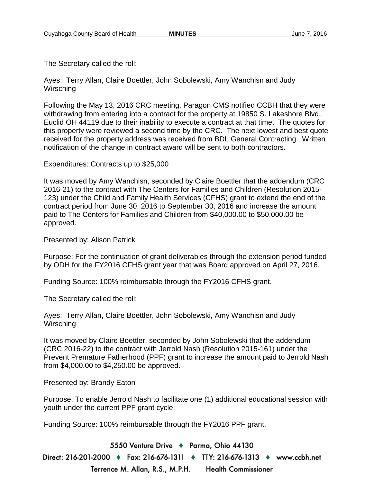The Secretary called the roll:

Ayes: Terry Allan, Claire Boettler, John Sobolewski, Amy Wanchisn and Judy **Wirsching** 

Following the May 13, 2016 CRC meeting, Paragon CMS notified CCBH that they were withdrawing from entering into a contract for the property at 19850 S. Lakeshore Blvd., Euclid OH 44119 due to their inability to execute a contract at that time. The quotes for this property were reviewed a second time by the CRC. The next lowest and best quote received for the property address was received from BDL General Contracting. Written notification of the change in contract award will be sent to both contractors.

Expenditures: Contracts up to \$25,000

It was moved by Amy Wanchisn, seconded by Claire Boettler that the addendum (CRC 2016-21) to the contract with The Centers for Families and Children (Resolution 2015- 123) under the Child and Family Health Services (CFHS) grant to extend the end of the contract period from June 30, 2016 to September 30, 2016 and increase the amount paid to The Centers for Families and Children from \$40,000.00 to \$50,000.00 be approved.

Presented by: Alison Patrick

Purpose: For the continuation of grant deliverables through the extension period funded by ODH for the FY2016 CFHS grant year that was Board approved on April 27, 2016.

Funding Source: 100% reimbursable through the FY2016 CFHS grant.

The Secretary called the roll:

Ayes: Terry Allan, Claire Boettler, John Sobolewski, Amy Wanchisn and Judy Wirsching

It was moved by Claire Boettler, seconded by John Sobolewski that the addendum (CRC 2016-22) to the contract with Jerrold Nash (Resolution 2015-161) under the Prevent Premature Fatherhood (PPF) grant to increase the amount paid to Jerrold Nash from \$4,000.00 to \$4,250.00 be approved.

Presented by: Brandy Eaton

Purpose: To enable Jerrold Nash to facilitate one (1) additional educational session with youth under the current PPF grant cycle.

Funding Source: 100% reimbursable through the FY2016 PPF grant.

5550 Venture Drive + Parma, Ohio 44130 Direct: 216-201-2000 ♦ Fax: 216-676-1311 ♦ TTY: 216-676-1313 ♦ www.ccbh.net Terrence M. Allan, R.S., M.P.H. **Health Commissioner**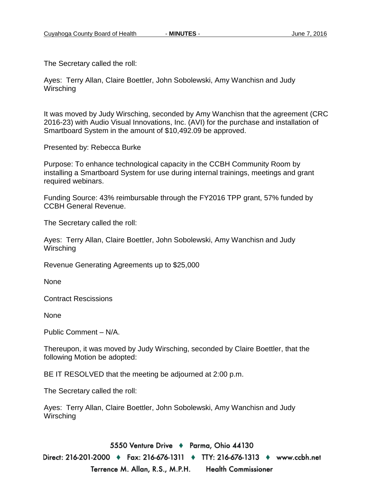The Secretary called the roll:

Ayes: Terry Allan, Claire Boettler, John Sobolewski, Amy Wanchisn and Judy **Wirsching** 

It was moved by Judy Wirsching, seconded by Amy Wanchisn that the agreement (CRC 2016-23) with Audio Visual Innovations, Inc. (AVI) for the purchase and installation of Smartboard System in the amount of \$10,492.09 be approved.

Presented by: Rebecca Burke

Purpose: To enhance technological capacity in the CCBH Community Room by installing a Smartboard System for use during internal trainings, meetings and grant required webinars.

Funding Source: 43% reimbursable through the FY2016 TPP grant, 57% funded by CCBH General Revenue.

The Secretary called the roll:

Ayes: Terry Allan, Claire Boettler, John Sobolewski, Amy Wanchisn and Judy **Wirsching** 

Revenue Generating Agreements up to \$25,000

None

Contract Rescissions

None

Public Comment – N/A.

Thereupon, it was moved by Judy Wirsching, seconded by Claire Boettler, that the following Motion be adopted:

BE IT RESOLVED that the meeting be adjourned at 2:00 p.m.

The Secretary called the roll:

Ayes: Terry Allan, Claire Boettler, John Sobolewski, Amy Wanchisn and Judy **Wirsching** 

5550 Venture Drive + Parma, Ohio 44130

Direct: 216-201-2000 ♦ Fax: 216-676-1311 ♦ TTY: 216-676-1313 ♦ www.ccbh.net Terrence M. Allan, R.S., M.P.H. **Health Commissioner**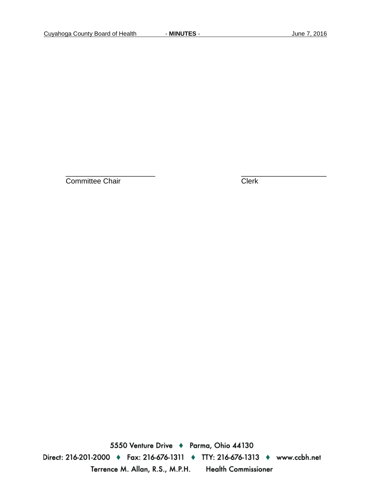Committee Chair Clerk

\_\_\_\_\_\_\_\_\_\_\_\_\_\_\_\_\_\_\_\_\_\_ \_\_\_\_\_\_\_\_\_\_\_\_\_\_\_\_\_\_\_\_\_

5550 Venture Drive + Parma, Ohio 44130 Direct: 216-201-2000 • Fax: 216-676-1311 • TTY: 216-676-1313 • www.ccbh.net Terrence M. Allan, R.S., M.P.H. Health Commissioner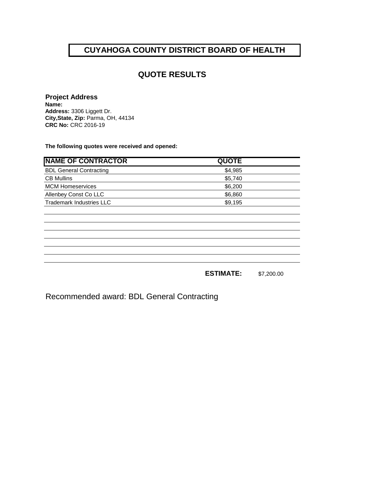## **CUYAHOGA COUNTY DISTRICT BOARD OF HEALTH**

## **QUOTE RESULTS**

#### **Project Address**

**Name: Address:** 3306 Liggett Dr. **City,State, Zip:** Parma, OH, 44134 **CRC No:** CRC 2016-19

**The following quotes were received and opened:**

| <b>NAME OF CONTRACTOR</b>       | <b>QUOTE</b> |  |
|---------------------------------|--------------|--|
| <b>BDL General Contracting</b>  | \$4,985      |  |
| <b>CB Mullins</b>               | \$5,740      |  |
| <b>MCM Homeservices</b>         | \$6,200      |  |
| Allenbey Const Co LLC           | \$6,860      |  |
| <b>Trademark Industries LLC</b> | \$9,195      |  |
|                                 |              |  |
|                                 |              |  |
|                                 |              |  |
|                                 |              |  |
|                                 |              |  |
|                                 |              |  |
|                                 |              |  |
|                                 |              |  |

**ESTIMATE:** \$7,200.00

Recommended award: BDL General Contracting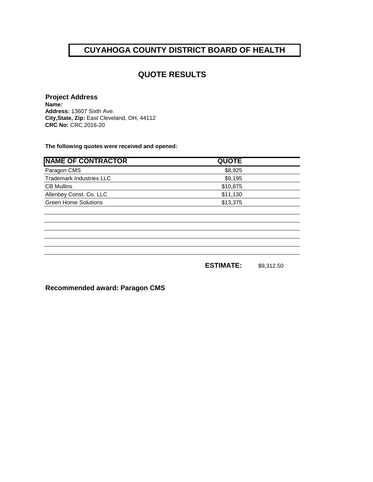## **CUYAHOGA COUNTY DISTRICT BOARD OF HEALTH**

## **QUOTE RESULTS**

#### **Project Address**

**Name: Address:** 13607 Sixth Ave. **City,State, Zip:** East Cleveland, OH, 44112 **CRC No:** CRC 2016-20

**The following quotes were received and opened:**

| <b>NAME OF CONTRACTOR</b>       | <b>QUOTE</b> |  |
|---------------------------------|--------------|--|
| Paragon CMS                     | \$8,925      |  |
| <b>Trademark Industries LLC</b> | \$9,195      |  |
| <b>CB Mullins</b>               | \$10,875     |  |
| Allenbey Const. Co. LLC         | \$11,130     |  |
| <b>Green Home Solutions</b>     | \$13,375     |  |
|                                 |              |  |

**ESTIMATE:** \$9,312.50

**Recommended award: Paragon CMS**